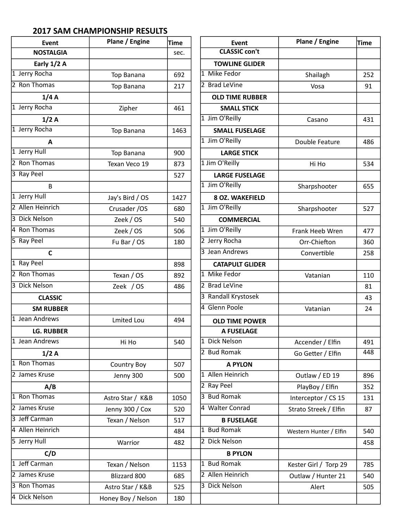## **2017 SAM CHAMPIONSHIP RESULTS**

| <b>Event</b>      | Plane / Engine     | Time | <b>Event</b>           | Plane / Engine         | <b>Time</b> |
|-------------------|--------------------|------|------------------------|------------------------|-------------|
| <b>NOSTALGIA</b>  |                    | sec. | <b>CLASSIC con't</b>   |                        |             |
| Early 1/2 A       |                    |      | <b>TOWLINE GLIDER</b>  |                        |             |
| 1 Jerry Rocha     | Top Banana         | 692  | 1 Mike Fedor           | Shailagh               | 252         |
| 2 Ron Thomas      | Top Banana         | 217  | 2 Brad LeVine          | Vosa                   | 91          |
| 1/4A              |                    |      | <b>OLD TIME RUBBER</b> |                        |             |
| 1 Jerry Rocha     | Zipher             | 461  | <b>SMALL STICK</b>     |                        |             |
| 1/2A              |                    |      | 1 Jim O'Reilly         | Casano                 | 431         |
| 1 Jerry Rocha     | Top Banana         | 1463 | <b>SMALL FUSELAGE</b>  |                        |             |
| $\mathbf{A}$      |                    |      | 1 Jim O'Reilly         | Double Feature         | 486         |
| 1 Jerry Hull      | Top Banana         | 900  | <b>LARGE STICK</b>     |                        |             |
| 2 Ron Thomas      | Texan Veco 19      | 873  | 1 Jim O'Reilly         | Hi Ho                  | 534         |
| 3 Ray Peel        |                    | 527  | <b>LARGE FUSELAGE</b>  |                        |             |
| $\mathsf B$       |                    |      | 1 Jim O'Reilly         | Sharpshooter           | 655         |
| 1 Jerry Hull      | Jay's Bird / OS    | 1427 | <b>8 OZ. WAKEFIELD</b> |                        |             |
| 2 Allen Heinrich  | Crusader / OS      | 680  | 1 Jim O'Reilly         | Sharpshooter           | 527         |
| 3 Dick Nelson     | Zeek / OS          | 540  | <b>COMMERCIAL</b>      |                        |             |
| 4 Ron Thomas      | Zeek / OS          | 506  | 1 Jim O'Reilly         | Frank Heeb Wren        | 477         |
| 5 Ray Peel        | Fu Bar / OS        | 180  | 2 Jerry Rocha          | Orr-Chiefton           | 360         |
| $\mathsf{C}$      |                    |      | 3 Jean Andrews         | Convertible            | 258         |
| 1 Ray Peel        |                    | 898  | <b>CATAPULT GLIDER</b> |                        |             |
| 2 Ron Thomas      | Texan / OS         | 892  | 1 Mike Fedor           | Vatanian               | 110         |
| 3 Dick Nelson     | Zeek / OS          | 486  | 2 Brad LeVine          |                        | 81          |
| <b>CLASSIC</b>    |                    |      | 3 Randall Krystosek    |                        | 43          |
| <b>SM RUBBER</b>  |                    |      | 4 Glenn Poole          | Vatanian               | 24          |
| Jean Andrews      | <b>Lmited Lou</b>  | 494  | <b>OLD TIME POWER</b>  |                        |             |
| <b>LG. RUBBER</b> |                    |      | A FUSELAGE             |                        |             |
| 1 Jean Andrews    | Hi Ho              | 540  | 1 Dick Nelson          | Accender / Elfin       | 491         |
| 1/2A              |                    |      | 2 Bud Romak            | Go Getter / Elfin      | 448         |
| 1 Ron Thomas      | <b>Country Boy</b> | 507  | <b>A PYLON</b>         |                        |             |
| 2 James Kruse     | Jenny 300          | 500  | 1 Allen Heinrich       | Outlaw / ED 19         | 896         |
| A/B               |                    |      | 2 Ray Peel             | PlayBoy / Elfin        | 352         |
| 1 Ron Thomas      | Astro Star / K&B   | 1050 | 3 Bud Romak            | Interceptor / CS 15    | 131         |
| 2 James Kruse     | Jenny 300 / Cox    | 520  | 4 Walter Conrad        | Strato Streek / Elfin  | 87          |
| 3 Jeff Carman     | Texan / Nelson     | 517  | <b>B FUSELAGE</b>      |                        |             |
| 4 Allen Heinrich  |                    | 484  | 1 Bud Romak            | Western Hunter / Elfin | 540         |
| 5 Jerry Hull      | Warrior            | 482  | 2 Dick Nelson          |                        | 458         |
| C/D               |                    |      | <b>B PYLON</b>         |                        |             |
| 1 Jeff Carman     | Texan / Nelson     | 1153 | 1 Bud Romak            | Kester Girl / Torp 29  | 785         |
| 2 James Kruse     | Blizzard 800       | 685  | 2 Allen Heinrich       | Outlaw / Hunter 21     | 540         |
| 3 Ron Thomas      | Astro Star / K&B   | 525  | 3 Dick Nelson          | Alert                  | 505         |
| 4 Dick Nelson     | Honey Boy / Nelson | 180  |                        |                        |             |
|                   |                    |      |                        |                        |             |

| Event                  | Plane / Engine         | <b>Time</b> |
|------------------------|------------------------|-------------|
| <b>CLASSIC con't</b>   |                        |             |
| <b>TOWLINE GLIDER</b>  |                        |             |
| 1 Mike Fedor           | Shailagh               | 252         |
| 2 Brad LeVine          | Vosa                   | 91          |
| <b>OLD TIME RUBBER</b> |                        |             |
| <b>SMALL STICK</b>     |                        |             |
| 1 Jim O'Reilly         | Casano                 | 431         |
| <b>SMALL FUSELAGE</b>  |                        |             |
| 1 Jim O'Reilly         | Double Feature         | 486         |
| <b>LARGE STICK</b>     |                        |             |
| 1 Jim O'Reilly         | Hi Ho                  | 534         |
| <b>LARGE FUSELAGE</b>  |                        |             |
| 1 Jim O'Reilly         | Sharpshooter           | 655         |
| <b>8 OZ. WAKEFIELD</b> |                        |             |
| 1 Jim O'Reilly         | Sharpshooter           | 527         |
| <b>COMMERCIAL</b>      |                        |             |
| 1 Jim O'Reilly         | Frank Heeb Wren        | 477         |
| 2 Jerry Rocha          | Orr-Chiefton           | 360         |
| 3 Jean Andrews         | Convertible            | 258         |
| <b>CATAPULT GLIDER</b> |                        |             |
| 1 Mike Fedor           | Vatanian               | 110         |
| 2 Brad LeVine          |                        | 81          |
| 3 Randall Krystosek    |                        | 43          |
| 4 Glenn Poole          | Vatanian               | 24          |
| <b>OLD TIME POWER</b>  |                        |             |
| <b>A FUSELAGE</b>      |                        |             |
| 1 Dick Nelson          | Accender / Elfin       | 491         |
| 2 Bud Romak            | Go Getter / Elfin      | 448         |
| <b>A PYLON</b>         |                        |             |
| 1 Allen Heinrich       | Outlaw / ED 19         | 896         |
| 2 Ray Peel             | PlayBoy / Elfin        | 352         |
| 3 Bud Romak            | Interceptor / CS 15    | 131         |
| 4 Walter Conrad        | Strato Streek / Elfin  | 87          |
| <b>B FUSELAGE</b>      |                        |             |
| 1 Bud Romak            | Western Hunter / Elfin | 540         |
| 2 Dick Nelson          |                        | 458         |
| <b>B PYLON</b>         |                        |             |
| 1 Bud Romak            | Kester Girl / Torp 29  | 785         |
| 2 Allen Heinrich       | Outlaw / Hunter 21     | 540         |
| 3 Dick Nelson          | Alert                  | 505         |
|                        |                        |             |